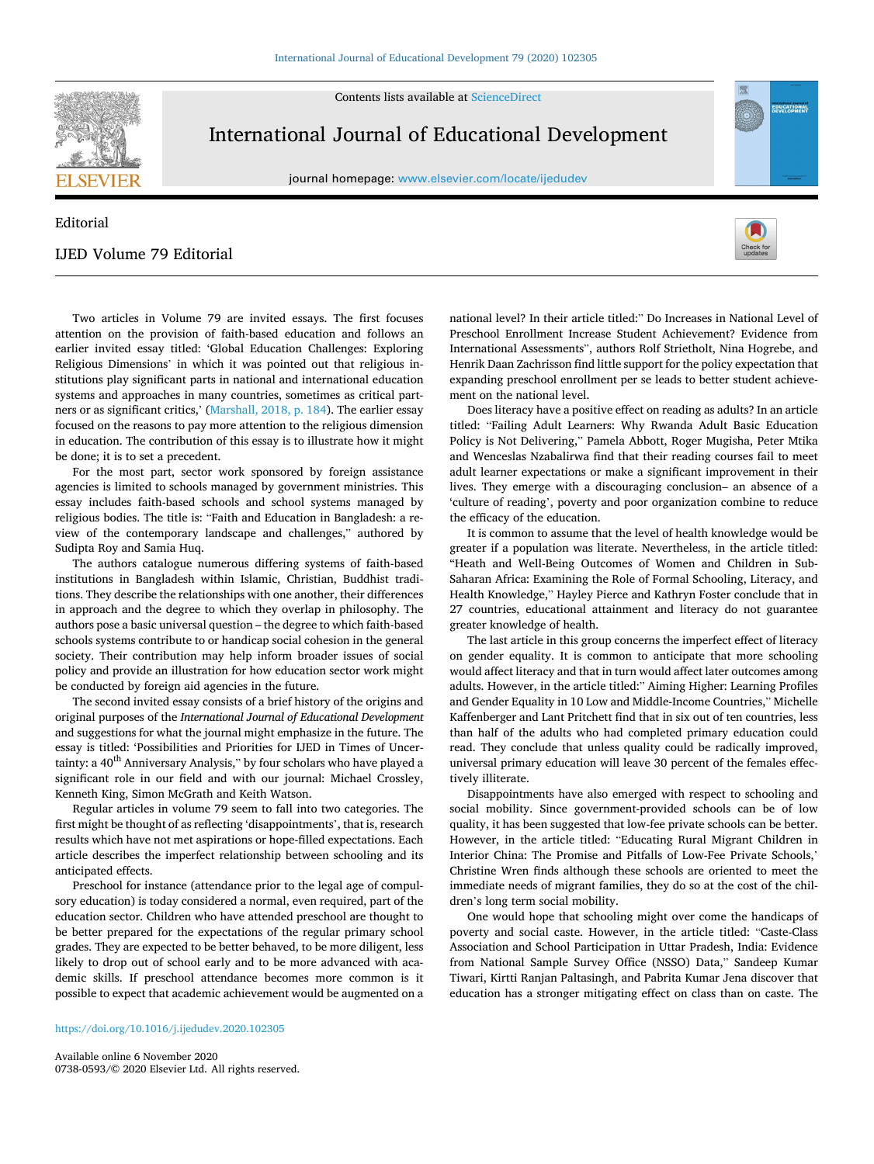Contents lists available at [ScienceDirect](www.sciencedirect.com/science/journal/07380593)



Editorial

International Journal of Educational Development

journal homepage: [www.elsevier.com/locate/ijedudev](https://www.elsevier.com/locate/ijedudev)

## IJED Volume 79 Editorial



Two articles in Volume 79 are invited essays. The first focuses attention on the provision of faith-based education and follows an earlier invited essay titled: 'Global Education Challenges: Exploring Religious Dimensions' in which it was pointed out that religious institutions play significant parts in national and international education systems and approaches in many countries, sometimes as critical partners or as significant critics,' [\(Marshall, 2018, p. 184\)](#page-1-0). The earlier essay focused on the reasons to pay more attention to the religious dimension in education. The contribution of this essay is to illustrate how it might be done; it is to set a precedent.

For the most part, sector work sponsored by foreign assistance agencies is limited to schools managed by government ministries. This essay includes faith-based schools and school systems managed by religious bodies. The title is: "Faith and Education in Bangladesh: a review of the contemporary landscape and challenges," authored by Sudipta Roy and Samia Huq.

The authors catalogue numerous differing systems of faith-based institutions in Bangladesh within Islamic, Christian, Buddhist traditions. They describe the relationships with one another, their differences in approach and the degree to which they overlap in philosophy. The authors pose a basic universal question – the degree to which faith-based schools systems contribute to or handicap social cohesion in the general society. Their contribution may help inform broader issues of social policy and provide an illustration for how education sector work might be conducted by foreign aid agencies in the future.

The second invited essay consists of a brief history of the origins and original purposes of the *International Journal of Educational Development*  and suggestions for what the journal might emphasize in the future. The essay is titled: 'Possibilities and Priorities for IJED in Times of Uncertainty: a 40<sup>th</sup> Anniversary Analysis," by four scholars who have played a significant role in our field and with our journal: Michael Crossley, Kenneth King, Simon McGrath and Keith Watson.

Regular articles in volume 79 seem to fall into two categories. The first might be thought of as reflecting 'disappointments', that is, research results which have not met aspirations or hope-filled expectations. Each article describes the imperfect relationship between schooling and its anticipated effects.

Preschool for instance (attendance prior to the legal age of compulsory education) is today considered a normal, even required, part of the education sector. Children who have attended preschool are thought to be better prepared for the expectations of the regular primary school grades. They are expected to be better behaved, to be more diligent, less likely to drop out of school early and to be more advanced with academic skills. If preschool attendance becomes more common is it possible to expect that academic achievement would be augmented on a

national level? In their article titled:" Do Increases in National Level of Preschool Enrollment Increase Student Achievement? Evidence from International Assessments", authors Rolf Strietholt, Nina Hogrebe, and Henrik Daan Zachrisson find little support for the policy expectation that expanding preschool enrollment per se leads to better student achieve-

ment on the national level. Does literacy have a positive effect on reading as adults? In an article titled: "Failing Adult Learners: Why Rwanda Adult Basic Education Policy is Not Delivering," Pamela Abbott, Roger Mugisha, Peter Mtika and Wenceslas Nzabalirwa find that their reading courses fail to meet adult learner expectations or make a significant improvement in their lives. They emerge with a discouraging conclusion– an absence of a 'culture of reading', poverty and poor organization combine to reduce the efficacy of the education.

It is common to assume that the level of health knowledge would be greater if a population was literate. Nevertheless, in the article titled: "Heath and Well-Being Outcomes of Women and Children in Sub-Saharan Africa: Examining the Role of Formal Schooling, Literacy, and Health Knowledge," Hayley Pierce and Kathryn Foster conclude that in 27 countries, educational attainment and literacy do not guarantee greater knowledge of health.

The last article in this group concerns the imperfect effect of literacy on gender equality. It is common to anticipate that more schooling would affect literacy and that in turn would affect later outcomes among adults. However, in the article titled:" Aiming Higher: Learning Profiles and Gender Equality in 10 Low and Middle-Income Countries," Michelle Kaffenberger and Lant Pritchett find that in six out of ten countries, less than half of the adults who had completed primary education could read. They conclude that unless quality could be radically improved, universal primary education will leave 30 percent of the females effectively illiterate.

Disappointments have also emerged with respect to schooling and social mobility. Since government-provided schools can be of low quality, it has been suggested that low-fee private schools can be better. However, in the article titled: "Educating Rural Migrant Children in Interior China: The Promise and Pitfalls of Low-Fee Private Schools,' Christine Wren finds although these schools are oriented to meet the immediate needs of migrant families, they do so at the cost of the children's long term social mobility.

One would hope that schooling might over come the handicaps of poverty and social caste. However, in the article titled: "Caste-Class Association and School Participation in Uttar Pradesh, India: Evidence from National Sample Survey Office (NSSO) Data," Sandeep Kumar Tiwari, Kirtti Ranjan Paltasingh, and Pabrita Kumar Jena discover that education has a stronger mitigating effect on class than on caste. The